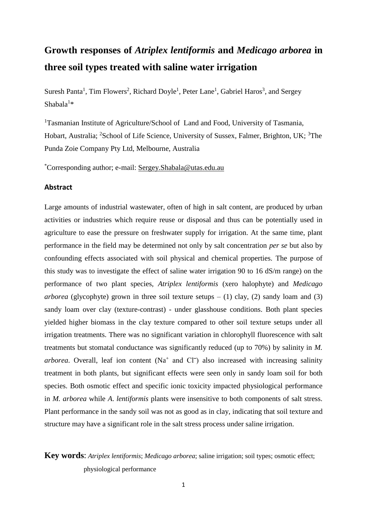# **Growth responses of** *Atriplex lentiformis* **and** *Medicago arborea* **in three soil types treated with saline water irrigation**

Suresh Panta<sup>1</sup>, Tim Flowers<sup>2</sup>, Richard Doyle<sup>1</sup>, Peter Lane<sup>1</sup>, Gabriel Haros<sup>3</sup>, and Sergey  $Shabala<sup>1</sup>*$ 

<sup>1</sup>Tasmanian Institute of Agriculture/School of Land and Food, University of Tasmania, Hobart, Australia; <sup>2</sup>School of Life Science, University of Sussex, Falmer, Brighton, UK; <sup>3</sup>The Punda Zoie Company Pty Ltd, Melbourne, Australia

\*Corresponding author; e-mail: [Sergey.Shabala@utas.edu.au](mailto:Sergey.Shabala@utas.edu.au)

#### **Abstract**

Large amounts of industrial wastewater, often of high in salt content, are produced by urban activities or industries which require reuse or disposal and thus can be potentially used in agriculture to ease the pressure on freshwater supply for irrigation. At the same time, plant performance in the field may be determined not only by salt concentration *per se* but also by confounding effects associated with soil physical and chemical properties. The purpose of this study was to investigate the effect of saline water irrigation 90 to 16 dS/m range) on the performance of two plant species, *Atriplex lentiformis* (xero halophyte) and *Medicago arborea* (glycophyte) grown in three soil texture setups  $- (1)$  clay, (2) sandy loam and (3) sandy loam over clay (texture-contrast) - under glasshouse conditions. Both plant species yielded higher biomass in the clay texture compared to other soil texture setups under all irrigation treatments. There was no significant variation in chlorophyll fluorescence with salt treatments but stomatal conductance was significantly reduced (up to 70%) by salinity in *M.*  $arborea$ . Overall, leaf ion content (Na<sup>+</sup> and Cl<sup>-</sup>) also increased with increasing salinity treatment in both plants, but significant effects were seen only in sandy loam soil for both species. Both osmotic effect and specific ionic toxicity impacted physiological performance in *M. arborea* while *A*. *lentiformis* plants were insensitive to both components of salt stress. Plant performance in the sandy soil was not as good as in clay, indicating that soil texture and structure may have a significant role in the salt stress process under saline irrigation.

# **Key words**: *Atriplex lentiformis*; *Medicago arborea*; saline irrigation; soil types; osmotic effect; physiological performance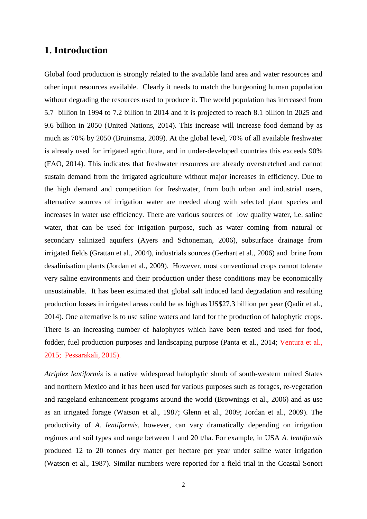### **1. Introduction**

Global food production is strongly related to the available land area and water resources and other input resources available. Clearly it needs to match the burgeoning human population without degrading the resources used to produce it. The world population has increased from 5.7 billion in 1994 to 7.2 billion in 2014 and it is projected to reach 8.1 billion in 2025 and 9.6 billion in 2050 (United Nations, 2014). This increase will increase food demand by as much as 70% by 2050 (Bruinsma, 2009). At the global level, 70% of all available freshwater is already used for irrigated agriculture, and in under-developed countries this exceeds 90% (FAO, 2014). This indicates that freshwater resources are already overstretched and cannot sustain demand from the irrigated agriculture without major increases in efficiency. Due to the high demand and competition for freshwater, from both urban and industrial users, alternative sources of irrigation water are needed along with selected plant species and increases in water use efficiency. There are various sources of low quality water, i.e. saline water, that can be used for irrigation purpose, such as water coming from natural or secondary salinized aquifers (Ayers and Schoneman, 2006), subsurface drainage from irrigated fields (Grattan et al., 2004), industrials sources (Gerhart et al., 2006) and brine from desalinisation plants (Jordan et al., 2009). However, most conventional crops cannot tolerate very saline environments and their production under these conditions may be economically unsustainable. It has been estimated that global salt induced land degradation and resulting production losses in irrigated areas could be as high as US\$27.3 billion per year (Qadir et al., 2014). One alternative is to use saline waters and land for the production of halophytic crops. There is an increasing number of halophytes which have been tested and used for food, fodder, fuel production purposes and landscaping purpose (Panta et al., 2014; Ventura et al., 2015; Pessarakali, 2015).

*Atriplex lentiformis* is a native widespread halophytic shrub of south-western united States and northern Mexico and it has been used for various purposes such as forages, re-vegetation and rangeland enhancement programs around the world (Brownings et al., 2006) and as use as an irrigated forage (Watson et al., 1987; Glenn et al., 2009; Jordan et al., 2009). The productivity of *A. lentiformis,* however, can vary dramatically depending on irrigation regimes and soil types and range between 1 and 20 t/ha. For example, in USA *A. lentiformis* produced 12 to 20 tonnes dry matter per hectare per year under saline water irrigation (Watson et al., 1987). Similar numbers were reported for a field trial in the Coastal Sonort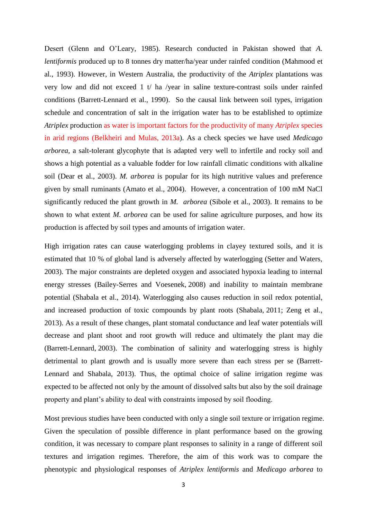Desert (Glenn and O'Leary, 1985). Research conducted in Pakistan showed that *A. lentiformis* produced up to 8 tonnes dry matter/ha/year under rainfed condition (Mahmood et al., 1993). However, in Western Australia, the productivity of the *Atriplex* plantations was very low and did not exceed 1 t/ ha /year in saline texture-contrast soils under rainfed conditions (Barrett-Lennard et al., 1990). So the causal link between soil types, irrigation schedule and concentration of salt in the irrigation water has to be established to optimize *Atriplex* production as water is important factors for the productivity of many *Atriplex* species in arid regions (Belkheiri and Mulas, 2013a). As a check species we have used *Medicago arborea,* a salt-tolerant glycophyte that is adapted very well to infertile and rocky soil and shows a high potential as a valuable fodder for low rainfall climatic conditions with alkaline soil (Dear et al., 2003). *M. arborea* is popular for its high nutritive values and preference given by small ruminants (Amato et al., 2004). However, a concentration of 100 mM NaCl significantly reduced the plant growth in *M. arborea* (Sibole et al., 2003). It remains to be shown to what extent *M. arborea* can be used for saline agriculture purposes, and how its production is affected by soil types and amounts of irrigation water.

High irrigation rates can cause waterlogging problems in clayey textured soils, and it is estimated that 10 % of global land is adversely affected by waterlogging (Setter and Waters, 2003). The major constraints are depleted oxygen and associated hypoxia leading to internal energy stresses (Bailey-Serres and Voesenek, 2008) and inability to maintain membrane potential (Shabala et al., 2014). Waterlogging also causes reduction in soil redox potential, and increased production of toxic compounds by plant roots (Shabala, 2011; Zeng et al., 2013). As a result of these changes, plant stomatal conductance and leaf water potentials will decrease and plant shoot and root growth will reduce and ultimately the plant may die (Barrett-Lennard, 2003). The combination of salinity and waterlogging stress is highly detrimental to plant growth and is usually more severe than each stress per se (Barrett-Lennard and Shabala, 2013). Thus, the optimal choice of saline irrigation regime was expected to be affected not only by the amount of dissolved salts but also by the soil drainage property and plant's ability to deal with constraints imposed by soil flooding.

Most previous studies have been conducted with only a single soil texture or irrigation regime. Given the speculation of possible difference in plant performance based on the growing condition, it was necessary to compare plant responses to salinity in a range of different soil textures and irrigation regimes. Therefore, the aim of this work was to compare the phenotypic and physiological responses of *Atriplex lentiformis* and *Medicago arborea* to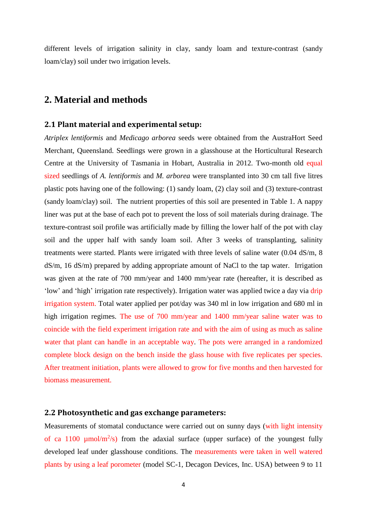different levels of irrigation salinity in clay, sandy loam and texture-contrast (sandy loam/clay) soil under two irrigation levels.

# **2. Material and methods**

#### **2.1 Plant material and experimental setup:**

*Atriplex lentiformis* and *Medicago arborea* seeds were obtained from the AustraHort Seed Merchant, Queensland. Seedlings were grown in a glasshouse at the Horticultural Research Centre at the University of Tasmania in Hobart, Australia in 2012. Two-month old equal sized seedlings of *A. lentiformis* and *M. arborea* were transplanted into 30 cm tall five litres plastic pots having one of the following: (1) sandy loam, (2) clay soil and (3) texture-contrast (sandy loam/clay) soil. The nutrient properties of this soil are presented in Table 1. A nappy liner was put at the base of each pot to prevent the loss of soil materials during drainage. The texture-contrast soil profile was artificially made by filling the lower half of the pot with clay soil and the upper half with sandy loam soil. After 3 weeks of transplanting, salinity treatments were started. Plants were irrigated with three levels of saline water (0.04 dS/m, 8 dS/m, 16 dS/m) prepared by adding appropriate amount of NaCl to the tap water. Irrigation was given at the rate of 700 mm/year and 1400 mm/year rate (hereafter, it is described as 'low' and 'high' irrigation rate respectively). Irrigation water was applied twice a day via drip irrigation system. Total water applied per pot/day was 340 ml in low irrigation and 680 ml in high irrigation regimes. The use of 700 mm/year and 1400 mm/year saline water was to coincide with the field experiment irrigation rate and with the aim of using as much as saline water that plant can handle in an acceptable way. The pots were arranged in a randomized complete block design on the bench inside the glass house with five replicates per species. After treatment initiation, plants were allowed to grow for five months and then harvested for biomass measurement.

#### **2.2 Photosynthetic and gas exchange parameters:**

Measurements of stomatal conductance were carried out on sunny days (with light intensity of ca 1100  $\mu$ mol/m<sup>2</sup>/s) from the adaxial surface (upper surface) of the youngest fully developed leaf under glasshouse conditions. The measurements were taken in well watered plants by using a leaf porometer (model SC-1, Decagon Devices, Inc. USA) between 9 to 11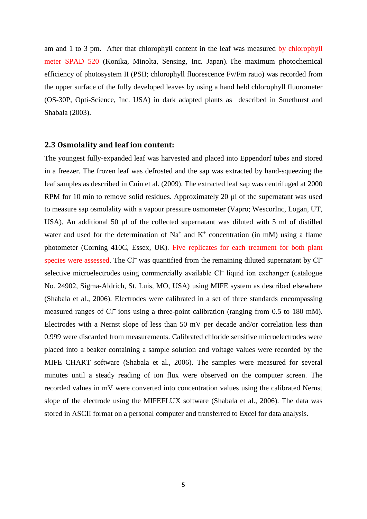am and 1 to 3 pm. After that chlorophyll content in the leaf was measured by chlorophyll meter SPAD 520 (Konika, Minolta, Sensing, Inc. Japan). The maximum photochemical efficiency of photosystem II (PSII; chlorophyll fluorescence Fv/Fm ratio) was recorded from the upper surface of the fully developed leaves by using a hand held chlorophyll fluorometer (OS-30P, Opti-Science, Inc. USA) in dark adapted plants as described in Smethurst and Shabala (2003).

#### **2.3 Osmolality and leaf ion content:**

The youngest fully-expanded leaf was harvested and placed into Eppendorf tubes and stored in a freezer. The frozen leaf was defrosted and the sap was extracted by hand-squeezing the leaf samples as described in Cuin et al. (2009). The extracted leaf sap was centrifuged at 2000 RPM for 10 min to remove solid residues. Approximately 20 µl of the supernatant was used to measure sap osmolality with a vapour pressure osmometer (Vapro; WescorInc, Logan, UT, USA). An additional 50 µl of the collected supernatant was diluted with 5 ml of distilled water and used for the determination of  $Na<sup>+</sup>$  and  $K<sup>+</sup>$  concentration (in mM) using a flame photometer (Corning 410C, Essex, UK). Five replicates for each treatment for both plant species were assessed. The Cl<sup>-</sup> was quantified from the remaining diluted supernatant by Cl<sup>-</sup> selective microelectrodes using commercially available Cl<sup>-</sup> liquid ion exchanger (catalogue No. 24902, Sigma-Aldrich, St. Luis, MO, USA) using MIFE system as described elsewhere (Shabala et al., 2006). Electrodes were calibrated in a set of three standards encompassing measured ranges of Cl<sup>-</sup> ions using a three-point calibration (ranging from 0.5 to 180 mM). Electrodes with a Nernst slope of less than 50 mV per decade and/or correlation less than 0.999 were discarded from measurements. Calibrated chloride sensitive microelectrodes were placed into a beaker containing a sample solution and voltage values were recorded by the MIFE CHART software (Shabala et al., 2006). The samples were measured for several minutes until a steady reading of ion flux were observed on the computer screen. The recorded values in mV were converted into concentration values using the calibrated Nernst slope of the electrode using the MIFEFLUX software (Shabala et al., 2006). The data was stored in ASCII format on a personal computer and transferred to Excel for data analysis.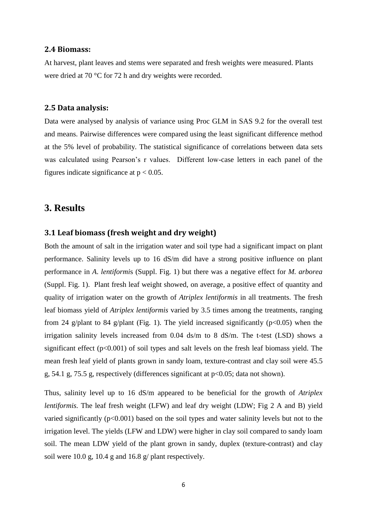#### **2.4 Biomass:**

At harvest, plant leaves and stems were separated and fresh weights were measured. Plants were dried at 70 °C for 72 h and dry weights were recorded.

#### **2.5 Data analysis:**

Data were analysed by analysis of variance using Proc GLM in SAS 9.2 for the overall test and means. Pairwise differences were compared using the least significant difference method at the 5% level of probability. The statistical significance of correlations between data sets was calculated using Pearson's r values. Different low-case letters in each panel of the figures indicate significance at  $p < 0.05$ .

# **3. Results**

#### **3.1 Leaf biomass (fresh weight and dry weight)**

Both the amount of salt in the irrigation water and soil type had a significant impact on plant performance. Salinity levels up to 16 dS/m did have a strong positive influence on plant performance in *A*. *lentiformi*s (Suppl. Fig. 1) but there was a negative effect for *M. arborea* (Suppl. Fig. 1). Plant fresh leaf weight showed, on average, a positive effect of quantity and quality of irrigation water on the growth of *Atriplex lentiformis* in all treatments. The fresh leaf biomass yield of *Atriplex lentiformis* varied by 3.5 times among the treatments, ranging from 24 g/plant to 84 g/plant (Fig. 1). The yield increased significantly ( $p<0.05$ ) when the irrigation salinity levels increased from 0.04 ds/m to 8 dS/m. The t-test (LSD) shows a significant effect  $(p<0.001)$  of soil types and salt levels on the fresh leaf biomass yield. The mean fresh leaf yield of plants grown in sandy loam, texture-contrast and clay soil were 45.5 g, 54.1 g, 75.5 g, respectively (differences significant at p<0.05; data not shown).

Thus, salinity level up to 16 dS/m appeared to be beneficial for the growth of *Atriplex lentiformis.* The leaf fresh weight (LFW) and leaf dry weight (LDW; Fig 2 A and B) yield varied significantly  $(p<0.001)$  based on the soil types and water salinity levels but not to the irrigation level. The yields (LFW and LDW) were higher in clay soil compared to sandy loam soil. The mean LDW yield of the plant grown in sandy, duplex (texture-contrast) and clay soil were 10.0 g, 10.4 g and 16.8 g/ plant respectively.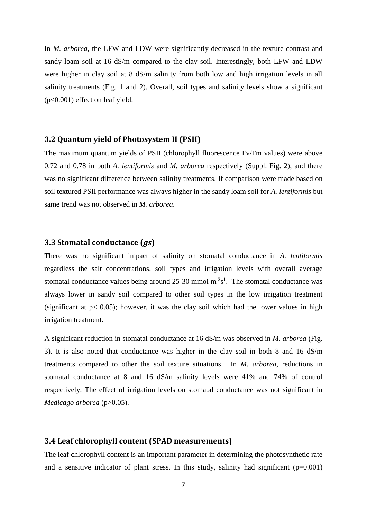In *M. arborea*, the LFW and LDW were significantly decreased in the texture-contrast and sandy loam soil at 16 dS/m compared to the clay soil. Interestingly, both LFW and LDW were higher in clay soil at 8 dS/m salinity from both low and high irrigation levels in all salinity treatments (Fig. 1 and 2). Overall, soil types and salinity levels show a significant (p<0.001) effect on leaf yield.

#### **3.2 Quantum yield of Photosystem II (PSII)**

The maximum quantum yields of PSII (chlorophyll fluorescence Fv/Fm values) were above 0.72 and 0.78 in both *A. lentiformis* and *M. arborea* respectively (Suppl. Fig. 2), and there was no significant difference between salinity treatments. If comparison were made based on soil textured PSII performance was always higher in the sandy loam soil for *A. lentiformis* but same trend was not observed in *M. arborea*.

#### **3.3 Stomatal conductance (***gs***)**

There was no significant impact of salinity on stomatal conductance in *A. lentiformis* regardless the salt concentrations, soil types and irrigation levels with overall average stomatal conductance values being around  $25{\text -}30$  mmol m<sup>-2</sup>s<sup>1</sup>. The stomatal conductance was always lower in sandy soil compared to other soil types in the low irrigation treatment (significant at  $p < 0.05$ ); however, it was the clay soil which had the lower values in high irrigation treatment.

A significant reduction in stomatal conductance at 16 dS/m was observed in *M. arborea* (Fig. 3). It is also noted that conductance was higher in the clay soil in both 8 and 16 dS/m treatments compared to other the soil texture situations. In *M. arborea,* reductions in stomatal conductance at 8 and 16 dS/m salinity levels were 41% and 74% of control respectively. The effect of irrigation levels on stomatal conductance was not significant in *Medicago arborea* (p>0.05).

#### **3.4 Leaf chlorophyll content (SPAD measurements)**

The leaf chlorophyll content is an important parameter in determining the photosynthetic rate and a sensitive indicator of plant stress. In this study, salinity had significant  $(p=0.001)$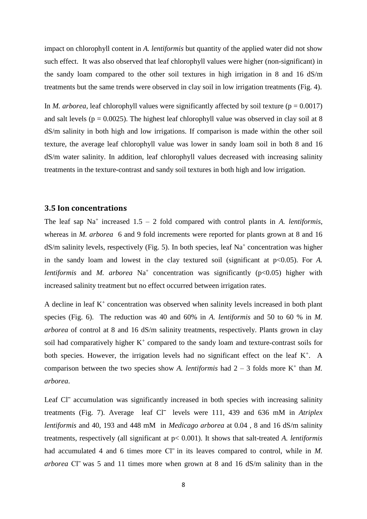impact on chlorophyll content in *A. lentiformis* but quantity of the applied water did not show such effect. It was also observed that leaf chlorophyll values were higher (non-significant) in the sandy loam compared to the other soil textures in high irrigation in 8 and 16 dS/m treatments but the same trends were observed in clay soil in low irrigation treatments (Fig. 4).

In *M. arborea*, leaf chlorophyll values were significantly affected by soil texture ( $p = 0.0017$ ) and salt levels ( $p = 0.0025$ ). The highest leaf chlorophyll value was observed in clay soil at 8 dS/m salinity in both high and low irrigations. If comparison is made within the other soil texture, the average leaf chlorophyll value was lower in sandy loam soil in both 8 and 16 dS/m water salinity. In addition, leaf chlorophyll values decreased with increasing salinity treatments in the texture-contrast and sandy soil textures in both high and low irrigation.

#### **3.5 Ion concentrations**

The leaf sap  $Na^+$  increased  $1.5 - 2$  fold compared with control plants in *A. lentiformis*, whereas in *M. arborea* 6 and 9 fold increments were reported for plants grown at 8 and 16  $dS/m$  salinity levels, respectively (Fig. 5). In both species, leaf Na<sup>+</sup> concentration was higher in the sandy loam and lowest in the clay textured soil (significant at  $p<0.05$ ). For *A*. *lentiformis* and *M. arborea*  $Na<sup>+</sup>$  concentration was significantly ( $p<0.05$ ) higher with increased salinity treatment but no effect occurred between irrigation rates.

A decline in leaf  $K^+$  concentration was observed when salinity levels increased in both plant species (Fig. 6). The reduction was 40 and 60% in *A. lentiformis* and 50 to 60 % in *M. arborea* of control at 8 and 16 dS/m salinity treatments, respectively. Plants grown in clay soil had comparatively higher  $K^+$  compared to the sandy loam and texture-contrast soils for both species. However, the irrigation levels had no significant effect on the leaf  $K^+$ . A comparison between the two species show *A. lentiformis* had  $2 - 3$  folds more  $K^+$  than *M*. *arborea*.

Leaf Cl<sup>-</sup> accumulation was significantly increased in both species with increasing salinity treatments (Fig. 7). Average leaf Cl<sup>-</sup> levels were 111, 439 and 636 mM in *Atriplex lentiformis* and 40, 193 and 448 mM in *Medicago arborea* at 0.04 , 8 and 16 dS/m salinity treatments, respectively (all significant at p< 0.001). It shows that salt-treated *A. lentiformis* had accumulated 4 and 6 times more Cl<sup>-</sup> in its leaves compared to control, while in *M*. *arborea* Cl<sup>-</sup> was 5 and 11 times more when grown at 8 and 16 dS/m salinity than in the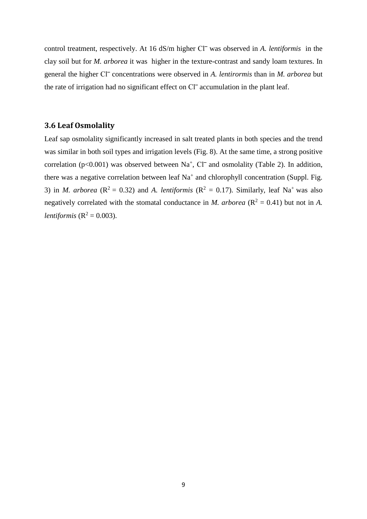control treatment, respectively. At 16 dS/m higher Cl<sup>-</sup> was observed in *A. lentiformis* in the clay soil but for *M. arborea* it was higher in the texture-contrast and sandy loam textures. In general the higher Cl‾ concentrations were observed in *A. lentirormis* than in *M. arborea* but the rate of irrigation had no significant effect on Cl<sup>-</sup> accumulation in the plant leaf.

### **3.6 Leaf Osmolality**

Leaf sap osmolality significantly increased in salt treated plants in both species and the trend was similar in both soil types and irrigation levels (Fig. 8). At the same time, a strong positive correlation ( $p<0.001$ ) was observed between Na<sup>+</sup>, Cl<sup>-</sup> and osmolality (Table 2). In addition, there was a negative correlation between leaf  $Na<sup>+</sup>$  and chlorophyll concentration (Suppl. Fig. 3) in *M. arborea* ( $\mathbb{R}^2 = 0.32$ ) and *A. lentiformis* ( $\mathbb{R}^2 = 0.17$ ). Similarly, leaf Na<sup>+</sup> was also negatively correlated with the stomatal conductance in *M. arborea* ( $\mathbb{R}^2 = 0.41$ ) but not in *A. lentiformis*  $(R^2 = 0.003)$ .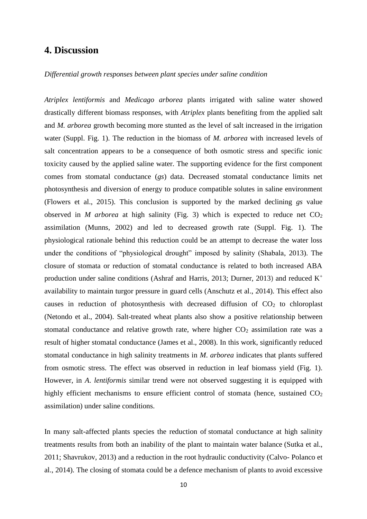### **4. Discussion**

#### *Differential growth responses between plant species under saline condition*

*Atriplex lentiformis* and *Medicago arborea* plants irrigated with saline water showed drastically different biomass responses, with *Atriplex* plants benefiting from the applied salt and *M. arborea* growth becoming more stunted as the level of salt increased in the irrigation water (Suppl. Fig. 1). The reduction in the biomass of *M. arborea* with increased levels of salt concentration appears to be a consequence of both osmotic stress and specific ionic toxicity caused by the applied saline water. The supporting evidence for the first component comes from stomatal conductance (*gs*) data. Decreased stomatal conductance limits net photosynthesis and diversion of energy to produce compatible solutes in saline environment (Flowers et al., 2015). This conclusion is supported by the marked declining *gs* value observed in *M* arborea at high salinity (Fig. 3) which is expected to reduce net  $CO<sub>2</sub>$ assimilation (Munns, 2002) and led to decreased growth rate (Suppl. Fig. 1). The physiological rationale behind this reduction could be an attempt to decrease the water loss under the conditions of "physiological drought" imposed by salinity (Shabala, 2013). The closure of stomata or reduction of stomatal conductance is related to both increased ABA production under saline conditions (Ashraf and Harris, 2013; Durner, 2013) and reduced  $K^+$ availability to maintain turgor pressure in guard cells (Anschutz et al., 2014). This effect also causes in reduction of photosynthesis with decreased diffusion of  $CO<sub>2</sub>$  to chloroplast (Netondo et al., 2004). Salt-treated wheat plants also show a positive relationship between stomatal conductance and relative growth rate, where higher  $CO<sub>2</sub>$  assimilation rate was a result of higher stomatal conductance (James et al., 2008). In this work, significantly reduced stomatal conductance in high salinity treatments in *M*. *arborea* indicates that plants suffered from osmotic stress. The effect was observed in reduction in leaf biomass yield (Fig. 1). However, in *A*. *lentiformis* similar trend were not observed suggesting it is equipped with highly efficient mechanisms to ensure efficient control of stomata (hence, sustained CO<sub>2</sub> assimilation) under saline conditions.

In many salt-affected plants species the reduction of stomatal conductance at high salinity treatments results from both an inability of the plant to maintain water balance (Sutka et al., 2011; Shavrukov, 2013) and a reduction in the root hydraulic conductivity (Calvo- Polanco et al., 2014). The closing of stomata could be a defence mechanism of plants to avoid excessive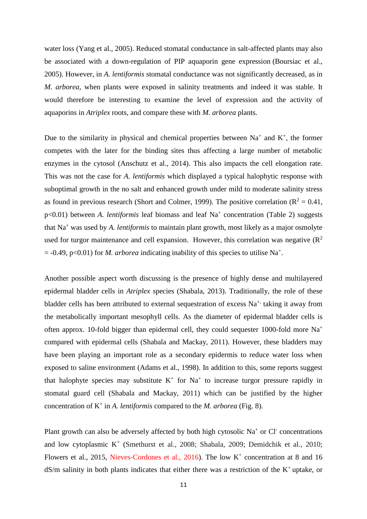water loss (Yang et al., 2005). Reduced stomatal conductance in salt-affected plants may also be associated with a down-regulation of PIP aquaporin gene expression (Boursiac et al., 2005). However, in *A. lentiformis* stomatal conductance was not significantly decreased, as in *M. arborea,* when plants were exposed in salinity treatments and indeed it was stable. It would therefore be interesting to examine the level of expression and the activity of aquaporins in *Atriplex* roots, and compare these with *M. arborea* plants.

Due to the similarity in physical and chemical properties between  $Na<sup>+</sup>$  and  $K<sup>+</sup>$ , the former competes with the later for the binding sites thus affecting a large number of metabolic enzymes in the cytosol (Anschutz et al., 2014). This also impacts the cell elongation rate. This was not the case for *A. lentiformis* which displayed a typical halophytic response with suboptimal growth in the no salt and enhanced growth under mild to moderate salinity stress as found in previous research (Short and Colmer, 1999). The positive correlation ( $R^2 = 0.41$ , p<0.01) between *A. lentiformis* leaf biomass and leaf Na<sup>+</sup> concentration (Table 2) suggests that Na<sup>+</sup> was used by *A. lentiformis* to maintain plant growth, most likely as a major osmolyte used for turgor maintenance and cell expansion. However, this correlation was negative  $(R^2)$  $= -0.49$ , p<0.01) for *M. arborea* indicating inability of this species to utilise Na<sup>+</sup>.

Another possible aspect worth discussing is the presence of highly dense and multilayered epidermal bladder cells in *Atriplex* species (Shabala, 2013). Traditionally, the role of these bladder cells has been attributed to external sequestration of excess  $Na<sup>+</sup>$  taking it away from the metabolically important mesophyll cells. As the diameter of epidermal bladder cells is often approx. 10-fold bigger than epidermal cell, they could sequester 1000-fold more Na<sup>+</sup> compared with epidermal cells (Shabala and Mackay, 2011). However, these bladders may have been playing an important role as a secondary epidermis to reduce water loss when exposed to saline environment (Adams et al., 1998). In addition to this, some reports suggest that halophyte species may substitute  $K^+$  for  $Na^+$  to increase turgor pressure rapidly in stomatal guard cell (Shabala and Mackay, 2011) which can be justified by the higher concentration of  $K^+$  in *A. lentiformis* compared to the *M. arborea* (Fig. 8).

Plant growth can also be adversely affected by both high cytosolic  $Na<sup>+</sup>$  or Cl<sup>-</sup> concentrations and low cytoplasmic K<sup>+</sup> (Smethurst et al., 2008; Shabala, 2009; Demidchik et al., 2010; Flowers et al., 2015, Nieves-Cordones et al., 2016). The low  $K^+$  concentration at 8 and 16  $dS/m$  salinity in both plants indicates that either there was a restriction of the  $K^+$ uptake, or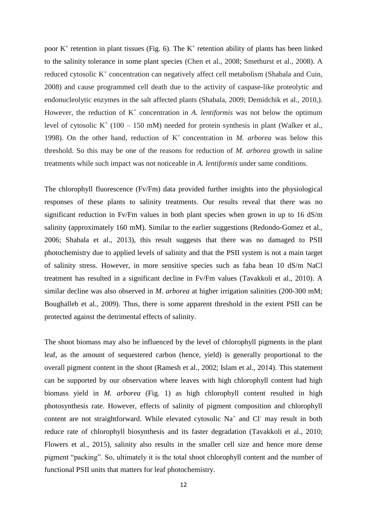poor  $K^+$  retention in plant tissues (Fig. 6). The  $K^+$  retention ability of plants has been linked to the salinity tolerance in some plant species (Chen et al., 2008; Smethurst et al., 2008). A reduced cytosolic K<sup>+</sup> concentration can negatively affect cell metabolism (Shabala and Cuin, 2008) and cause programmed cell death due to the activity of caspase-like proteolytic and endonucleolytic enzymes in the salt affected plants (Shabala, 2009; Demidchik et al., 2010,). However, the reduction of  $K^+$  concentration in *A. lentiformis* was not below the optimum level of cytosolic  $K^+$  (100 – 150 mM) needed for protein synthesis in plant (Walker et al., 1998). On the other hand, reduction of  $K^+$  concentration in *M. arborea* was below this threshold. So this may be one of the reasons for reduction of *M. arborea* growth in saline treatments while such impact was not noticeable in *A. lentiformis* under same conditions.

The chlorophyll fluorescence (Fv/Fm) data provided further insights into the physiological responses of these plants to salinity treatments. Our results reveal that there was no significant reduction in Fv/Fm values in both plant species when grown in up to 16 dS/m salinity (approximately 160 mM). Similar to the earlier suggestions (Redondo-Gomez et al., 2006; Shabala et al., 2013), this result suggests that there was no damaged to PSII photochemistry due to applied levels of salinity and that the PSII system is not a main target of salinity stress. However, in more sensitive species such as faba bean 10 dS/m NaCl treatment has resulted in a significant decline in Fv/Fm values (Tavakkoli et al., 2010). A similar decline was also observed in *M. arborea* at higher irrigation salinities (200-300 mM; Boughalleb et al., 2009). Thus, there is some apparent threshold in the extent PSII can be protected against the detrimental effects of salinity.

The shoot biomass may also be influenced by the level of chlorophyll pigments in the plant leaf, as the amount of sequestered carbon (hence, yield) is generally proportional to the overall pigment content in the shoot (Ramesh et al., 2002; Islam et al., 2014). This statement can be supported by our observation where leaves with high chlorophyll content had high biomass yield in *M. arborea* (Fig. 1) as high chlorophyll content resulted in high photosynthesis rate. However, effects of salinity of pigment composition and chlorophyll content are not straightforward. While elevated cytosolic  $Na<sup>+</sup>$  and Cl may result in both reduce rate of chlorophyll biosynthesis and its faster degradation (Tavakkoli et al., 2010; Flowers et al., 2015), salinity also results in the smaller cell size and hence more dense pigment "packing". So, ultimately it is the total shoot chlorophyll content and the number of functional PSII units that matters for leaf photochemistry.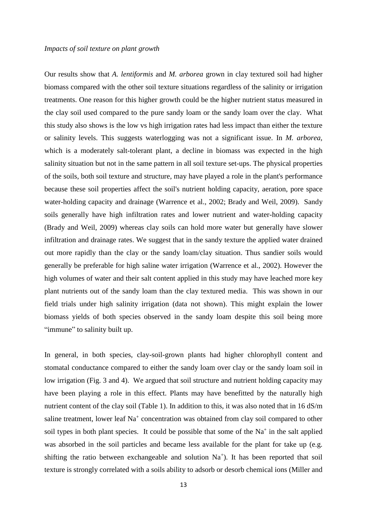#### *Impacts of soil texture on plant growth*

Our results show that *A. lentiformis* and *M. arborea* grown in clay textured soil had higher biomass compared with the other soil texture situations regardless of the salinity or irrigation treatments. One reason for this higher growth could be the higher nutrient status measured in the clay soil used compared to the pure sandy loam or the sandy loam over the clay. What this study also shows is the low vs high irrigation rates had less impact than either the texture or salinity levels. This suggests waterlogging was not a significant issue. In *M. arborea,* which is a moderately salt-tolerant plant, a decline in biomass was expected in the high salinity situation but not in the same pattern in all soil texture set-ups. The physical properties of the soils, both soil texture and structure, may have played a role in the plant's performance because these soil properties affect the soil's nutrient holding capacity, aeration, pore space water-holding capacity and drainage (Warrence et al., 2002; Brady and Weil, 2009). Sandy soils generally have high infiltration rates and lower nutrient and water-holding capacity (Brady and Weil, 2009) whereas clay soils can hold more water but generally have slower infiltration and drainage rates. We suggest that in the sandy texture the applied water drained out more rapidly than the clay or the sandy loam/clay situation. Thus sandier soils would generally be preferable for high saline water irrigation (Warrence et al., 2002). However the high volumes of water and their salt content applied in this study may have leached more key plant nutrients out of the sandy loam than the clay textured media. This was shown in our field trials under high salinity irrigation (data not shown). This might explain the lower biomass yields of both species observed in the sandy loam despite this soil being more "immune" to salinity built up.

In general, in both species, clay-soil-grown plants had higher chlorophyll content and stomatal conductance compared to either the sandy loam over clay or the sandy loam soil in low irrigation (Fig. 3 and 4). We argued that soil structure and nutrient holding capacity may have been playing a role in this effect. Plants may have benefitted by the naturally high nutrient content of the clay soil (Table 1). In addition to this, it was also noted that in 16 dS/m saline treatment, lower leaf Na<sup>+</sup> concentration was obtained from clay soil compared to other soil types in both plant species. It could be possible that some of the  $Na<sup>+</sup>$  in the salt applied was absorbed in the soil particles and became less available for the plant for take up (e.g. shifting the ratio between exchangeable and solution  $Na<sup>+</sup>$ ). It has been reported that soil texture is strongly correlated with a soils ability to adsorb or desorb chemical ions (Miller and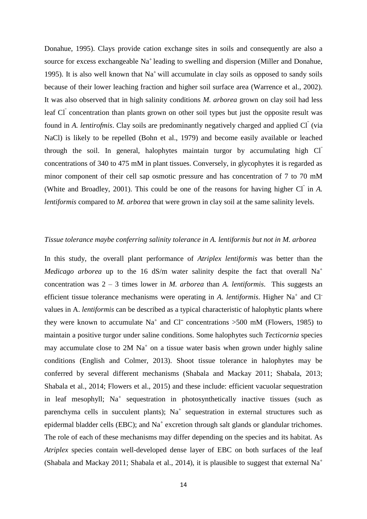Donahue, 1995). Clays provide cation exchange sites in soils and consequently are also a source for excess exchangeable Na<sup>+</sup> leading to swelling and dispersion (Miller and Donahue, 1995). It is also well known that  $Na<sup>+</sup>$  will accumulate in clay soils as opposed to sandy soils because of their lower leaching fraction and higher soil surface area (Warrence et al., 2002). It was also observed that in high salinity conditions *M. arborea* grown on clay soil had less leaf Cl concentration than plants grown on other soil types but just the opposite result was found in *A. lentirofmis*. Clay soils are predominantly negatively charged and applied Cl (via NaCl) is likely to be repelled (Bohn et al., 1979) and become easily available or leached through the soil. In general, halophytes maintain turgor by accumulating high Cl concentrations of 340 to 475 mM in plant tissues. Conversely, in glycophytes it is regarded as minor component of their cell sap osmotic pressure and has concentration of 7 to 70 mM (White and Broadley, 2001). This could be one of the reasons for having higher  $CI$  in  $A$ . *lentiformis* compared to *M. arborea* that were grown in clay soil at the same salinity levels.

#### *Tissue tolerance maybe conferring salinity tolerance in A. lentiformis but not in M. arborea*

In this study, the overall plant performance of *Atriplex lentiformis* was better than the *Medicago arborea* up to the 16 dS/m water salinity despite the fact that overall  $Na<sup>+</sup>$ concentration was 2 – 3 times lower in *M. arborea* than *A. lentiformis*. This suggests an efficient tissue tolerance mechanisms were operating in *A. lentiformis*. Higher Na<sup>+</sup> and Cl<sup>-</sup> values in A. *lentiformis* can be described as a typical characteristic of halophytic plants where they were known to accumulate  $Na^+$  and  $Cl^-$  concentrations >500 mM (Flowers, 1985) to maintain a positive turgor under saline conditions. Some halophytes such *Tecticornia* species may accumulate close to  $2M$  Na<sup>+</sup> on a tissue water basis when grown under highly saline conditions (English and Colmer, 2013). Shoot tissue tolerance in halophytes may be conferred by several different mechanisms (Shabala and Mackay 2011; Shabala, 2013; Shabala et al., 2014; Flowers et al., 2015) and these include: efficient vacuolar sequestration in leaf mesophyll; Na<sup>+</sup> sequestration in photosynthetically inactive tissues (such as parenchyma cells in succulent plants); Na<sup>+</sup> sequestration in external structures such as epidermal bladder cells (EBC); and Na<sup>+</sup> excretion through salt glands or glandular trichomes. The role of each of these mechanisms may differ depending on the species and its habitat. As *Atriplex* species contain well-developed dense layer of EBC on both surfaces of the leaf (Shabala and Mackay 2011; Shabala et al., 2014), it is plausible to suggest that external  $Na<sup>+</sup>$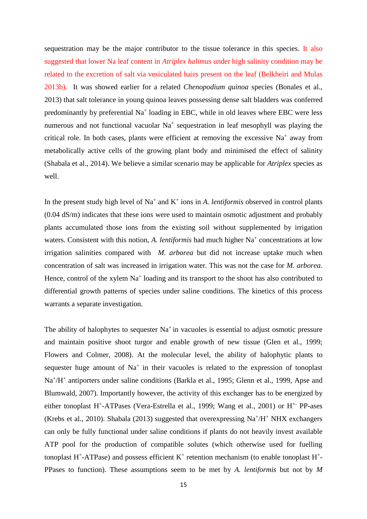sequestration may be the major contributor to the tissue tolerance in this species. It also suggested that lower Na leaf content in *Atriplex halimus* under high salinity condition may be related to the excretion of salt via vesiculated hairs present on the leaf (Belkheiri and Mulas 2013b). It was showed earlier for a related *Chenopodium quinoa* species (Bonales et al., 2013) that salt tolerance in young quinoa leaves possessing dense salt bladders was conferred predominantly by preferential Na<sup>+</sup> loading in EBC, while in old leaves where EBC were less numerous and not functional vacuolar  $Na<sup>+</sup>$  sequestration in leaf mesophyll was playing the critical role. In both cases, plants were efficient at removing the excessive  $Na<sup>+</sup>$  away from metabolically active cells of the growing plant body and minimised the effect of salinity (Shabala et al., 2014). We believe a similar scenario may be applicable for *Atriplex* species as well.

In the present study high level of  $Na<sup>+</sup>$  and  $K<sup>+</sup>$  ions in *A. lentiformis* observed in control plants (0.04 dS/m) indicates that these ions were used to maintain osmotic adjustment and probably plants accumulated those ions from the existing soil without supplemented by irrigation waters. Consistent with this notion, *A. lentiformis* had much higher Na<sup>+</sup> concentrations at low irrigation salinities compared with *M. arborea* but did not increase uptake much when concentration of salt was increased in irrigation water. This was not the case for *M. arborea*. Hence, control of the xylem Na<sup>+</sup> loading and its transport to the shoot has also contributed to differential growth patterns of species under saline conditions. The kinetics of this process warrants a separate investigation.

The ability of halophytes to sequester  $Na^+$  in vacuoles is essential to adjust osmotic pressure and maintain positive shoot turgor and enable growth of new tissue (Glen et al., 1999; Flowers and Colmer, 2008). At the molecular level, the ability of halophytic plants to sequester huge amount of  $Na<sup>+</sup>$  in their vacuoles is related to the expression of tonoplast Na<sup>+</sup>/H<sup>+</sup> antiporters under saline conditions (Barkla et al., 1995; Glenn et al., 1999, Apse and Blumwald, 2007). Importantly however, the activity of this exchanger has to be energized by either tonoplast H<sup>+</sup>-ATPases (Vera-Estrella et al., 1999; Wang et al., 2001) or H<sup>+-</sup> PP-ases (Krebs et al., 2010). Shabala (2013) suggested that overexpressing  $Na^+/H^+$  NHX exchangers can only be fully functional under saline conditions if plants do not heavily invest available ATP pool for the production of compatible solutes (which otherwise used for fuelling tonoplast H<sup>+</sup>-ATPase) and possess efficient  $K^+$  retention mechanism (to enable tonoplast H<sup>+</sup>-PPases to function). These assumptions seem to be met by *A. lentiformis* but not by *M*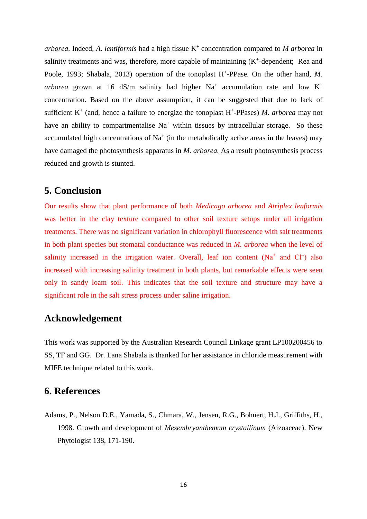*arborea*. Indeed, *A. lentiformis* had a high tissue K + concentration compared to *M arborea* in salinity treatments and was, therefore, more capable of maintaining  $(K^+$ -dependent; Rea and Poole, 1993; Shabala, 2013) operation of the tonoplast H<sup>+</sup>-PPase. On the other hand, M. arborea grown at 16  $dS/m$  salinity had higher Na<sup>+</sup> accumulation rate and low K<sup>+</sup> concentration. Based on the above assumption, it can be suggested that due to lack of sufficient  $K^+$  (and, hence a failure to energize the tonoplast  $H^+$ -PPases) *M. arborea* may not have an ability to compartmentalise  $Na<sup>+</sup>$  within tissues by intracellular storage. So these accumulated high concentrations of  $Na<sup>+</sup>$  (in the metabolically active areas in the leaves) may have damaged the photosynthesis apparatus in *M. arborea.* As a result photosynthesis process reduced and growth is stunted.

## **5. Conclusion**

Our results show that plant performance of both *Medicago arborea* and *Atriplex lenformis* was better in the clay texture compared to other soil texture setups under all irrigation treatments. There was no significant variation in chlorophyll fluorescence with salt treatments in both plant species but stomatal conductance was reduced in *M. arborea* when the level of salinity increased in the irrigation water. Overall, leaf ion content  $(Na<sup>+</sup>$  and  $Cl<sup>-</sup>)$  also increased with increasing salinity treatment in both plants, but remarkable effects were seen only in sandy loam soil. This indicates that the soil texture and structure may have a significant role in the salt stress process under saline irrigation.

# **Acknowledgement**

This work was supported by the Australian Research Council Linkage grant LP100200456 to SS, TF and GG. Dr. Lana Shabala is thanked for her assistance in chloride measurement with MIFE technique related to this work.

# **6. References**

Adams, P., Nelson D.E., Yamada, S., Chmara, W., Jensen, R.G., Bohnert, H.J., Griffiths, H., 1998. Growth and development of *Mesembryanthemum crystallinum* (Aizoaceae). New Phytologist 138, 171-190.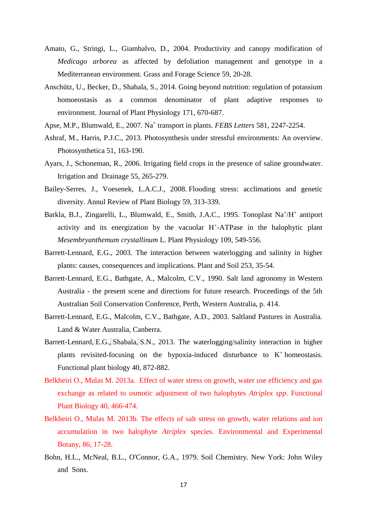- Amato, G., Stringi, L., Giambalvo, D., 2004. Productivity and canopy modification of *Medicago arborea* as affected by defoliation management and genotype in a Mediterranean environment. Grass and Forage Science 59, 20-28.
- Anschütz, U., Becker, D., Shabala, S., 2014. Going beyond nutrition: regulation of potassium homoeostasis as a common denominator of plant adaptive responses to environment. Journal of Plant Physiology 171, 670-687.
- Apse, M.P., Blumwald, E., 2007. Na<sup>+</sup> transport in plants. *FEBS Letters* 581, 2247-2254.
- Ashraf, M., Harris, P.J.C., 2013. Photosynthesis under stressful environments: An overview. Photosynthetica 51, 163-190.
- Ayars, J., Schoneman, R., 2006. Irrigating field crops in the presence of saline groundwater. Irrigation and Drainage 55, 265-279.
- Bailey-Serres, J., Voesenek, L.A.C.J., 2008. Flooding stress: acclimations and genetic diversity. Annul Review of Plant Biology 59, 313-339.
- Barkla, B.J., Zingarelli, L., Blumwald, E., Smith, J.A.C., 1995. Tonoplast Na<sup>+</sup>/H<sup>+</sup> antiport activity and its energization by the vacuolar H<sup>+</sup>-ATPase in the halophytic plant *Mesembryanthemum crystallinum* L. Plant Physiology 109, 549-556.
- Barrett-Lennard, E.G., 2003. The interaction between waterlogging and salinity in higher plants: causes, consequences and implications. Plant and Soil 253, 35-54.
- Barrett-Lennard, E.G., Bathgate, A., Malcolm, C.V., 1990. Salt land agronomy in Western Australia - the present scene and directions for future research. Proceedings of the 5th Australian Soil Conservation Conference, Perth, Western Australia, p. 414.
- Barrett-Lennard, E.G., Malcolm, C.V., Bathgate, A.D., 2003. Saltland Pastures in Australia. Land & Water Australia, Canberra.
- Barrett-Lennard, E.G., Shabala, S.N., 2013. The waterlogging/salinity interaction in higher plants revisited-focusing on the hypoxia-induced disturbance to  $K^+$  homeostasis. Functional plant biology 40, 872-882.
- Belkheiri O., Mulas M. 2013a. Effect of water stress on growth, water use efficiency and gas exchange as related to osmotic adjustment of two halophytes *Atriplex spp*. Functional Plant Biology 40, 466-474.
- Belkheiri O., Mulas M. 2013b. The effects of salt stress on growth, water relations and ion accumulation in two halophyte *Atriplex* species. Environmental and Experimental Botany, 86, 17-28.
- Bohn, H.L., McNeal, B.L., O'Connor, G.A., 1979. Soil Chemistry*.* New York: John Wiley and Sons.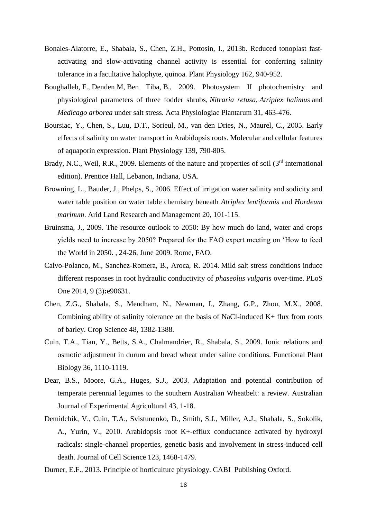- Bonales-Alatorre, E., Shabala, S., Chen, Z.H., Pottosin, I., 2013b. Reduced tonoplast fastactivating and slow-activating channel activity is essential for conferring salinity tolerance in a facultative halophyte, quinoa. Plant Physiology 162, 940-952.
- Boughalleb, F., Denden M, Ben Tiba, B., 2009. Photosystem II photochemistry and physiological parameters of three fodder shrubs, *Nitraria retusa*, *Atriplex halimus* and *Medicago arborea* under salt stress. Acta Physiologiae Plantarum 31, 463-476.
- Boursiac, Y., Chen, S., Luu, D.T., Sorieul, M., van den Dries, N., Maurel, C., 2005. Early effects of salinity on water transport in Arabidopsis roots. Molecular and cellular features of aquaporin expression. Plant Physiology 139, 790-805.
- Brady, N.C., Weil, R.R., 2009. Elements of the nature and properties of soil (3<sup>rd</sup> international edition). Prentice Hall, Lebanon, Indiana, USA.
- Browning, L., Bauder, J., Phelps, S., 2006. Effect of irrigation water salinity and sodicity and water table position on water table chemistry beneath *Atriplex lentiformis* and *Hordeum marinum*. Arid Land Research and Management 20, 101-115.
- Bruinsma, J., 2009. The resource outlook to 2050: By how much do land, water and crops yields need to increase by 2050? Prepared for the FAO expert meeting on 'How to feed the World in 2050. , 24-26, June 2009. Rome, FAO.
- Calvo-Polanco, M., Sanchez-Romera, B., Aroca, R. 2014. Mild salt stress conditions induce different responses in root hydraulic conductivity of *phaseolus vulgaris* over-time. PLoS One 2014, 9 (3)**:**e90631.
- Chen, Z.G., Shabala, S., Mendham, N., Newman, I., Zhang, G.P., Zhou, M.X., 2008. Combining ability of salinity tolerance on the basis of NaCl-induced  $K+$  flux from roots of barley. Crop Science 48, 1382-1388.
- Cuin, T.A., Tian, Y., Betts, S.A., Chalmandrier, R., Shabala, S., 2009. Ionic relations and osmotic adjustment in durum and bread wheat under saline conditions. Functional Plant Biology 36, 1110-1119.
- Dear, B.S., Moore, G.A., Huges, S.J., 2003. Adaptation and potential contribution of temperate perennial legumes to the southern Australian Wheatbelt: a review. Australian Journal of Experimental Agricultural 43, 1-18.
- Demidchik, V., Cuin, T.A., Svistunenko, D., Smith, S.J., Miller, A.J., Shabala, S., Sokolik, A., Yurin, V., 2010. Arabidopsis root K+-efflux conductance activated by hydroxyl radicals: single-channel properties, genetic basis and involvement in stress-induced cell death. Journal of Cell Science 123, 1468-1479.
- Durner, E.F., 2013. Principle of horticulture physiology. CABI Publishing Oxford.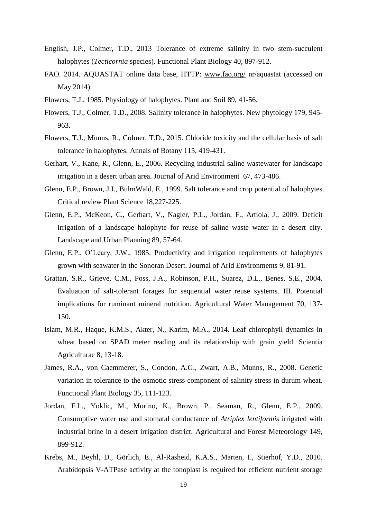- English, J.P., Colmer, T.D., 2013 Tolerance of extreme salinity in two stem-succulent halophytes (*Tecticornia* species). Functional Plant Biology 40, 897-912.
- FAO. 2014. AQUASTAT online data base, HTTP: [www.fao.org/](http://www.fao.org/) nr/aquastat (accessed on May 2014).
- Flowers, T.J., 1985. Physiology of halophytes. Plant and Soil 89, 41-56.
- Flowers, T.J., Colmer, T.D., 2008. Salinity tolerance in halophytes. New phytology 179, 945- 963.
- Flowers, T.J., Munns, R., Colmer, T.D., 2015. Chloride toxicity and the cellular basis of salt tolerance in halophytes. Annals of Botany 115, 419-431.
- Gerhart, V., Kane, R., Glenn, E., 2006. Recycling industrial saline wastewater for landscape irrigation in a desert urban area. Journal of Arid Environment 67, 473-486.
- Glenn, E.P., Brown, J.I., BulmWald, E., 1999. Salt tolerance and crop potential of halophytes. Critical review Plant Science 18,227-225.
- Glenn, E.P., McKeon, C., Gerhart, V., Nagler, P.L., Jordan, F., Artiola, J., 2009. Deficit irrigation of a landscape halophyte for reuse of saline waste water in a desert city. Landscape and Urban Planning 89, 57-64.
- Glenn, E.P., O'Leary, J.W., 1985. Productivity and irrigation requirements of halophytes grown with seawater in the Sonoran Desert. Journal of Arid Environments 9, 81-91.
- Grattan, S.R., Grieve, C.M., Poss, J.A., Robinson, P.H., Suarez, D.L., Benes, S.E., 2004. Evaluation of salt-tolerant forages for sequential water reuse systems. III. Potential implications for ruminant mineral nutrition. Agricultural Water Management 70, 137- 150.
- Islam, M.R., Haque, K.M.S., Akter, N., Karim, M.A., 2014. Leaf chlorophyll dynamics in wheat based on SPAD meter reading and its relationship with grain yield. Scientia Agriculturae 8, 13-18.
- James, R.A., von Caemmerer, S., Condon, A.G., Zwart, A.B., Munns, R., 2008. Genetic variation in tolerance to the osmotic stress component of salinity stress in durum wheat. Functional Plant Biology 35, 111-123.
- Jordan, F.L., Yoklic, M., Morino, K., Brown, P., Seaman, R., Glenn, E.P., 2009. Consumptive water use and stomatal conductance of *Atriplex lentiformis* irrigated with industrial brine in a desert irrigation district. Agricultural and Forest Meteorology 149, 899-912.
- Krebs, M., Beyhl, D., Görlich, E., Al-Rasheid, K.A.S., Marten, I., Stierhof, Y.D., 2010. Arabidopsis V-ATPase activity at the tonoplast is required for efficient nutrient storage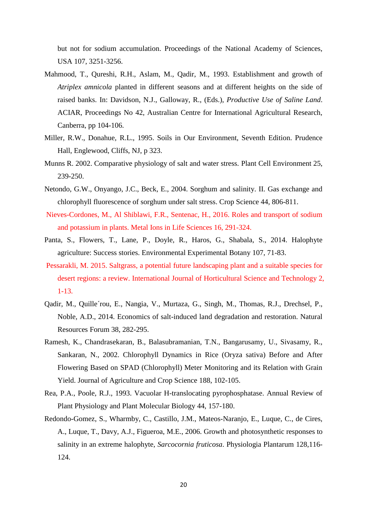but not for sodium accumulation. Proceedings of the National Academy of Sciences, USA 107, 3251-3256.

- Mahmood, T., Qureshi, R.H., Aslam, M., Qadir, M., 1993. Establishment and growth of *Atriplex amnicola* planted in different seasons and at different heights on the side of raised banks. In: Davidson, N.J., Galloway, R., (Eds.), *Productive Use of Saline Land*. ACIAR, Proceedings No 42, Australian Centre for International Agricultural Research, Canberra, pp 104-106.
- Miller, R.W., Donahue, R.L., 1995. Soils in Our Environment, Seventh Edition. Prudence Hall, Englewood, Cliffs, NJ, p 323.
- Munns R. 2002. Comparative physiology of salt and water stress. Plant Cell Environment 25, 239-250.
- Netondo, G.W., Onyango, J.C., Beck, E., 2004. Sorghum and salinity. II. Gas exchange and chlorophyll fluorescence of sorghum under salt stress. Crop Science 44, 806-811.
- Nieves-Cordones, M., Al Shiblawi, F.R., Sentenac, H., 2016. Roles and transport of sodium and potassium in plants. Metal Ions in Life Sciences 16, 291-324.
- Panta, S., Flowers, T., Lane, P., Doyle, R., Haros, G., Shabala, S., 2014. Halophyte agriculture: Success stories. Environmental Experimental Botany 107, 71-83.
- Pessarakli, M. 2015. Saltgrass, a potential future landscaping plant and a suitable species for desert regions: a review. International Journal of Horticultural Science and Technology 2, 1-13.
- Qadir, M., Quille´rou, E., Nangia, V., Murtaza, G., Singh, M., Thomas, R.J., Drechsel, P., Noble, A.D., 2014. Economics of salt-induced land degradation and restoration. Natural Resources Forum 38, 282-295.
- Ramesh, K., Chandrasekaran, B., Balasubramanian, T.N., Bangarusamy, U., Sivasamy, R., Sankaran, N., 2002. Chlorophyll Dynamics in Rice (Oryza sativa) Before and After Flowering Based on SPAD (Chlorophyll) Meter Monitoring and its Relation with Grain Yield. Journal of Agriculture and Crop Science 188, 102-105.
- Rea, P.A., Poole, R.J., 1993. Vacuolar H-translocating pyrophosphatase. Annual Review of Plant Physiology and Plant Molecular Biology 44, 157-180.
- Redondo-Gomez, S., Wharmby, C., Castillo, J.M., Mateos-Naranjo, E., Luque, C., de Cires, A., Luque, T., Davy, A.J., Figueroa, M.E., 2006. Growth and photosynthetic responses to salinity in an extreme halophyte, *Sarcocornia fruticosa*. Physiologia Plantarum 128,116- 124.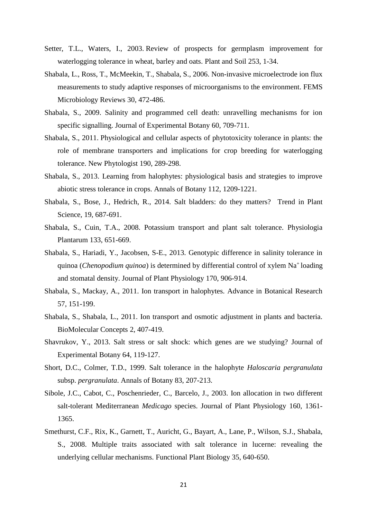- Setter, T.L., Waters, I., 2003. Review of prospects for germplasm improvement for waterlogging tolerance in wheat, barley and oats. Plant and Soil 253, 1-34.
- Shabala, L., Ross, T., McMeekin, T., Shabala, S., 2006. Non-invasive microelectrode ion flux measurements to study adaptive responses of microorganisms to the environment. FEMS Microbiology Reviews 30, 472-486.
- Shabala, S., 2009. Salinity and programmed cell death: unravelling mechanisms for ion specific signalling. Journal of Experimental Botany 60, 709-711.
- Shabala, S., 2011. Physiological and cellular aspects of phytotoxicity tolerance in plants: the role of membrane transporters and implications for crop breeding for waterlogging tolerance. New Phytologist 190, 289-298.
- Shabala, S., 2013. Learning from halophytes: physiological basis and strategies to improve abiotic stress tolerance in crops. Annals of Botany 112, 1209-1221.
- Shabala, S., Bose, J., Hedrich, R., 2014. Salt bladders: do they matters? Trend in Plant Science, 19, 687-691.
- Shabala, S., Cuin, T.A., 2008. Potassium transport and plant salt tolerance. Physiologia Plantarum 133, 651-669.
- Shabala, S., Hariadi, Y., Jacobsen, S-E., 2013. Genotypic difference in salinity tolerance in quinoa (*Chenopodium quinoa*) is determined by differential control of xylem Na<sup>+</sup> loading and stomatal density. Journal of Plant Physiology 170, 906-914.
- Shabala, S., Mackay, A., 2011. Ion transport in halophytes. Advance in Botanical Research 57, 151-199.
- Shabala, S., Shabala, L., 2011. Ion transport and osmotic adjustment in plants and bacteria. BioMolecular Concepts 2, 407-419.
- Shavrukov, Y., 2013. Salt stress or salt shock: which genes are we studying? Journal of Experimental Botany 64, 119-127.
- Short, D.C., Colmer, T.D., 1999. Salt tolerance in the halophyte *Haloscaria pergranulata* subsp. *pergranulata*. Annals of Botany 83, 207-213.
- Sibole, J.C., Cabot, C., Poschenrieder, C., Barcelo, J., 2003. Ion allocation in two different salt-tolerant Mediterranean *Medicago* species. Journal of Plant Physiology 160, 1361- 1365.
- Smethurst, C.F., Rix, K., Garnett, T., Auricht, G., Bayart, A., Lane, P., Wilson, S.J., Shabala, S., 2008. Multiple traits associated with salt tolerance in lucerne: revealing the underlying cellular mechanisms. Functional Plant Biology 35, 640-650.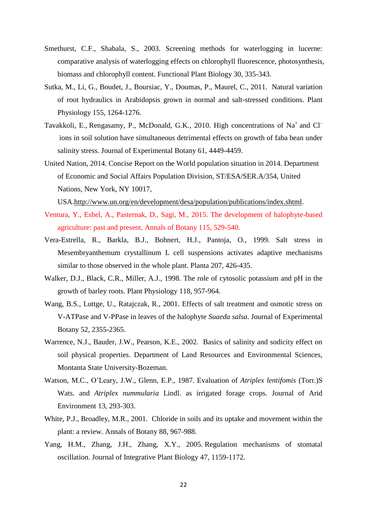- Smethurst, C.F., Shabala, S., 2003. Screening methods for waterlogging in lucerne: comparative analysis of waterlogging effects on chlorophyll fluorescence, photosynthesis, biomass and chlorophyll content. Functional Plant Biology 30, 335-343.
- Sutka, M., Li, G., Boudet, J., Boursiac, Y., Doumas, P., Maurel, C., 2011.Natural variation of root hydraulics in Arabidopsis grown in normal and salt-stressed conditions. Plant Physiology 155, 1264-1276.
- Tavakkoli, E., Rengasamy, P., McDonald, G.K., 2010. High concentrations of Na<sup>+</sup> and Cl<sup>-</sup> ions in soil solution have simultaneous detrimental effects on growth of faba bean under salinity stress. Journal of Experimental Botany 61, 4449-4459.
- United Nation, 2014. Concise Report on the World population situation in 2014. Department of Economic and Social Affairs Population Division, ST/ESA/SER.A/354, United Nations, New York, NY 10017,

USA[.http://www.un.org/en/development/desa/population/publications/index.shtml.](http://www.un.org/en/development/desa/population/publications/index.shtml)

- Ventura, Y., Eshel, A., Pasternak, D., Sagi, M., 2015. The development of halophyte-based agriculture: past and present. Annals of Botany 115, 529-540.
- Vera-Estrella, R., Barkla, B.J., Bohnert, H.J., Pantoja, O., 1999. Salt stress in Mesembryanthemum crystallinum L cell suspensions activates adaptive mechanisms similar to those observed in the whole plant. Planta 207, 426-435.
- Walker, D.J., Black, C.R., Miller, A.J., 1998. The role of cytosolic potassium and pH in the growth of barley roots. Plant Physiology 118, 957-964.
- Wang, B.S., Luttge, U., Ratajczak, R., 2001. Effects of salt treatment and osmotic stress on V-ATPase and V-PPase in leaves of the halophyte *Suaeda salsa*. Journal of Experimental Botany 52, 2355-2365.
- Warrence, N.J., Bauder, J.W., Pearson, K.E., 2002. Basics of salinity and sodicity effect on soil physical properties. Department of Land Resources and Environmental Sciences, Montanta State University-Bozeman.
- Watson, M.C., O'Leary, J.W., Glenn, E.P., 1987. Evaluation of *Atriplex lentifomis* (Torr.)S Wats. and *Atriplex nummularia* Lindl. as irrigated forage crops. Journal of Arid Environment 13, 293-303.
- White, P.J., Broadley, M.R., 2001. Chloride in soils and its uptake and movement within the plant: a review. Annals of Botany 88, 967-988.
- Yang, H.M., Zhang, J.H., Zhang, X.Y., 2005. Regulation mechanisms of stomatal oscillation. Journal of Integrative Plant Biology 47, 1159-1172.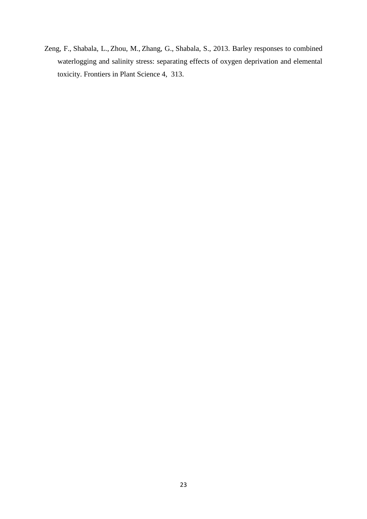Zeng, F., Shabala, L., Zhou, M., Zhang, G., Shabala, S., 2013. Barley responses to combined waterlogging and salinity stress: separating effects of oxygen deprivation and elemental toxicity. Frontiers in Plant Science 4, 313.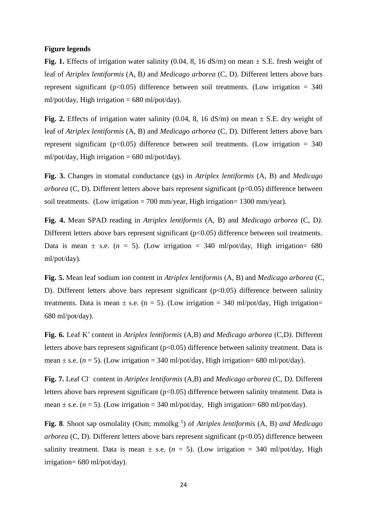#### **Figure legends**

**Fig. 1.** Effects of irrigation water salinity (0.04, 8, 16  $dS/m$ ) on mean  $\pm$  S.E. fresh weight of leaf of *Atriplex lentiformis* (A, B*)* and *Medicago arborea* (C, D). Different letters above bars represent significant ( $p<0.05$ ) difference between soil treatments. (Low irrigation = 340 ml/pot/day, High irrigation =  $680$  ml/pot/day).

**Fig. 2.** Effects of irrigation water salinity (0.04, 8, 16  $dS/m$ ) on mean  $\pm$  S.E. dry weight of leaf of *Atriplex lentiformis* (A, B) and *Medicago arborea* (C, D). Different letters above bars represent significant ( $p<0.05$ ) difference between soil treatments. (Low irrigation = 340 ml/pot/day, High irrigation =  $680$  ml/pot/day).

**Fig. 3.** Changes in stomatal conductance (gs) in *Atriplex lentiformis* (A, B) and *Medicago arborea* (C, D). Different letters above bars represent significant (p<0.05) difference between soil treatments. (Low irrigation  $= 700$  mm/year, High irrigation  $= 1300$  mm/year).

**Fig. 4.** Mean SPAD reading in *Atriplex lentiformis* (A, B) and *Medicago arborea* (C, D*)*. Different letters above bars represent significant (p<0.05) difference between soil treatments. Data is mean  $\pm$  s.e. (*n* = 5). (Low irrigation = 340 ml/pot/day, High irrigation= 680 ml/pot/day).

**Fig. 5.** Mean leaf sodium ion content in *Atriplex lentiformis* (A, B) and *Medicago arborea* (C, D). Different letters above bars represent significant ( $p<0.05$ ) difference between salinity treatments. Data is mean  $\pm$  s.e. (n = 5). (Low irrigation = 340 ml/pot/day, High irrigation= 680 ml/pot/day).

**Fig. 6.** Leaf K<sup>+</sup> content in *Atriplex lentiformis* (A,B) *and Medicago arborea* (C,D). Different letters above bars represent significant ( $p<0.05$ ) difference between salinity treatment. Data is mean  $\pm$  s.e. ( $n = 5$ ). (Low irrigation = 340 ml/pot/day, High irrigation = 680 ml/pot/day).

**Fig. 7.** Leaf Cl-content in *Atriplex lentiformis* (A,B) and *Medicago arborea* (C, D*)*. Different letters above bars represent significant ( $p<0.05$ ) difference between salinity treatment. Data is mean  $\pm$  s.e. ( $n = 5$ ). (Low irrigation = 340 ml/pot/day, High irrigation = 680 ml/pot/day).

Fig. 8. Shoot sap osmolality (Osm; mmolkg<sup>-1</sup>) of *Atriplex lentiformis* (A, B) and *Medicago arborea* (C, D). Different letters above bars represent significant (p<0.05) difference between salinity treatment. Data is mean  $\pm$  s.e. ( $n = 5$ ). (Low irrigation = 340 ml/pot/day, High irrigation= 680 ml/pot/day).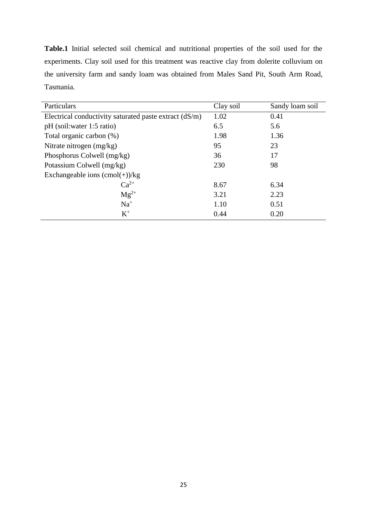**Table.1** Initial selected soil chemical and nutritional properties of the soil used for the experiments. Clay soil used for this treatment was reactive clay from dolerite colluvium on the university farm and sandy loam was obtained from Males Sand Pit, South Arm Road, Tasmania.

| Particulars                                            | Clay soil | Sandy loam soil |  |  |  |  |
|--------------------------------------------------------|-----------|-----------------|--|--|--|--|
| Electrical conductivity saturated paste extract (dS/m) | 1.02      | 0.41            |  |  |  |  |
| pH (soil: water 1:5 ratio)                             | 6.5       | 5.6             |  |  |  |  |
| Total organic carbon (%)                               | 1.98      | 1.36            |  |  |  |  |
| Nitrate nitrogen (mg/kg)                               | 95        | 23              |  |  |  |  |
| Phosphorus Colwell (mg/kg)                             | 36        | 17              |  |  |  |  |
| Potassium Colwell (mg/kg)                              | 230       | 98              |  |  |  |  |
| Exchangeable ions $(cmol(+))/kg$                       |           |                 |  |  |  |  |
| $Ca^{2+}$                                              | 8.67      | 6.34            |  |  |  |  |
| $Mg^{2+}$                                              | 3.21      | 2.23            |  |  |  |  |
| $Na+$                                                  | 1.10      | 0.51            |  |  |  |  |
| $K^+$                                                  | 0.44      | 0.20            |  |  |  |  |